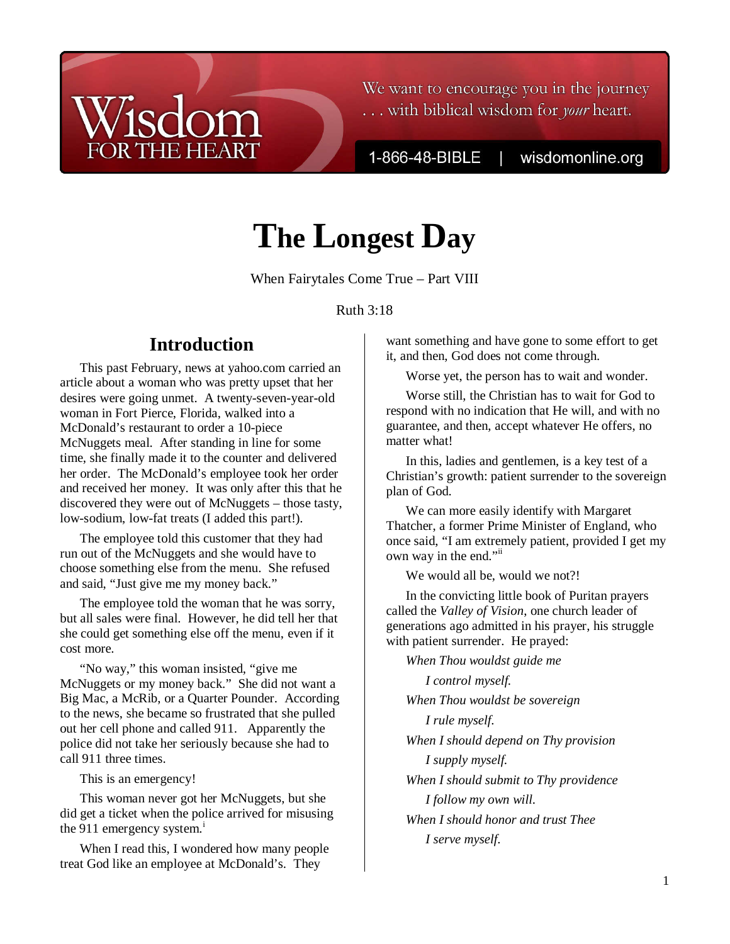## We want to encourage you in the journey ... with biblical wisdom for your heart.

1-866-48-BIBLE

wisdomonline.org

# **The Longest Day**

When Fairytales Come True – Part VIII

## Ruth 3:18

# **Introduction**

**THE HEART** 

This past February, news at yahoo.com carried an article about a woman who was pretty upset that her desires were going unmet. A twenty-seven-year-old woman in Fort Pierce, Florida, walked into a McDonald's restaurant to order a 10-piece McNuggets meal. After standing in line for some time, she finally made it to the counter and delivered her order. The McDonald's employee took her order and received her money. It was only after this that he discovered they were out of McNuggets – those tasty, low-sodium, low-fat treats (I added this part!).

The employee told this customer that they had run out of the McNuggets and she would have to choose something else from the menu. She refused and said, "Just give me my money back."

The employee told the woman that he was sorry, but all sales were final. However, he did tell her that she could get something else off the menu, even if it cost more.

"No way," this woman insisted, "give me McNuggets or my money back." She did not want a Big Mac, a McRib, or a Quarter Pounder. According to the news, she became so frustrated that she pulled out her cell phone and called 911. Apparently the police did not take her seriously because she had to call 911 three times.

This is an emergency!

This woman never got her McNuggets, but she did get a ticket when the police arrived for misusing the 911 emergency system. $\textsuperscript{1}$ 

When I read this, I wondered how many people treat God like an employee at McDonald's. They

want something and have gone to some effort to get it, and then, God does not come through.

Worse yet, the person has to wait and wonder.

Worse still, the Christian has to wait for God to respond with no indication that He will, and with no guarantee, and then, accept whatever He offers, no matter what!

In this, ladies and gentlemen, is a key test of a Christian's growth: patient surrender to the sovereign plan of God.

We can more easily identify with Margaret Thatcher, a former Prime Minister of England, who once said, "I am extremely patient, provided I get my own way in the end."

We would all be, would we not?!

In the convicting little book of Puritan prayers called the *Valley of Vision*, one church leader of generations ago admitted in his prayer, his struggle with patient surrender. He prayed:

*When Thou wouldst guide me* 

*I control myself. When Thou wouldst be sovereign I rule myself. When I should depend on Thy provision I supply myself. When I should submit to Thy providence I follow my own will. When I should honor and trust Thee I serve myself.*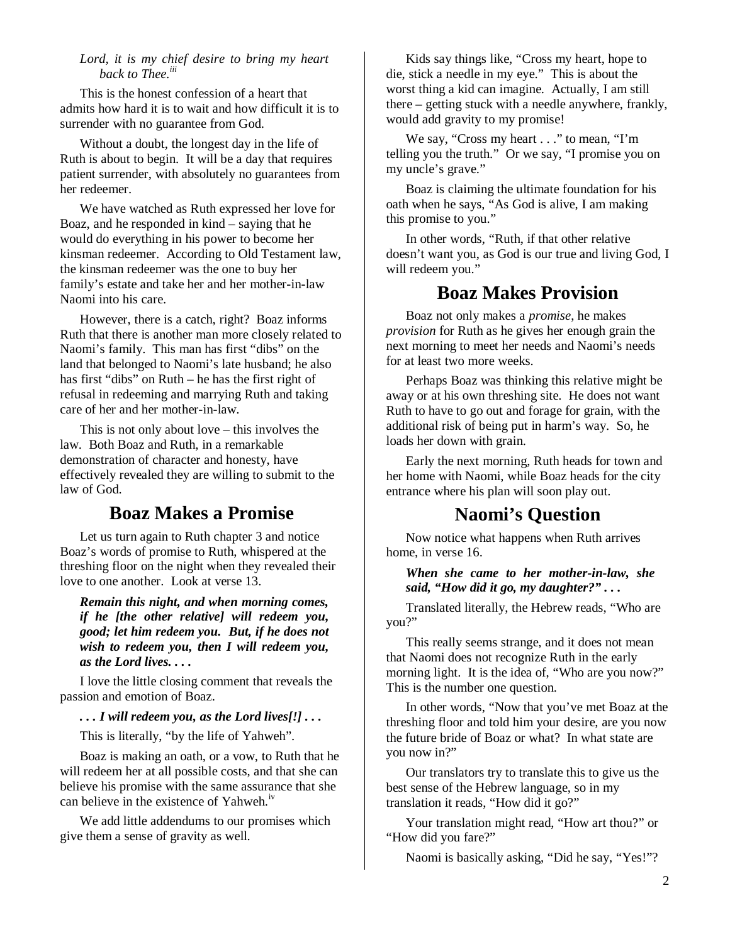#### *Lord, it is my chief desire to bring my heart back to Thee.iii*

This is the honest confession of a heart that admits how hard it is to wait and how difficult it is to surrender with no guarantee from God.

Without a doubt, the longest day in the life of Ruth is about to begin. It will be a day that requires patient surrender, with absolutely no guarantees from her redeemer.

We have watched as Ruth expressed her love for Boaz, and he responded in kind – saying that he would do everything in his power to become her kinsman redeemer. According to Old Testament law, the kinsman redeemer was the one to buy her family's estate and take her and her mother-in-law Naomi into his care.

However, there is a catch, right? Boaz informs Ruth that there is another man more closely related to Naomi's family. This man has first "dibs" on the land that belonged to Naomi's late husband; he also has first "dibs" on Ruth – he has the first right of refusal in redeeming and marrying Ruth and taking care of her and her mother-in-law.

This is not only about love – this involves the law. Both Boaz and Ruth, in a remarkable demonstration of character and honesty, have effectively revealed they are willing to submit to the law of God.

## **Boaz Makes a Promise**

Let us turn again to Ruth chapter 3 and notice Boaz's words of promise to Ruth, whispered at the threshing floor on the night when they revealed their love to one another. Look at verse 13.

*Remain this night, and when morning comes, if he [the other relative] will redeem you, good; let him redeem you. But, if he does not wish to redeem you, then I will redeem you, as the Lord lives. . . .* 

I love the little closing comment that reveals the passion and emotion of Boaz.

*. . . I will redeem you, as the Lord lives[!] . . .*

This is literally, "by the life of Yahweh".

Boaz is making an oath, or a vow, to Ruth that he will redeem her at all possible costs, and that she can believe his promise with the same assurance that she can believe in the existence of Yahweh.<sup>iv</sup>

We add little addendums to our promises which give them a sense of gravity as well.

Kids say things like, "Cross my heart, hope to die, stick a needle in my eye." This is about the worst thing a kid can imagine. Actually, I am still there – getting stuck with a needle anywhere, frankly, would add gravity to my promise!

We say, "Cross my heart . . ." to mean, "I'm telling you the truth." Or we say, "I promise you on my uncle's grave."

Boaz is claiming the ultimate foundation for his oath when he says, "As God is alive, I am making this promise to you."

In other words, "Ruth, if that other relative doesn't want you, as God is our true and living God, I will redeem you."

# **Boaz Makes Provision**

Boaz not only makes a *promise*, he makes *provision* for Ruth as he gives her enough grain the next morning to meet her needs and Naomi's needs for at least two more weeks.

Perhaps Boaz was thinking this relative might be away or at his own threshing site. He does not want Ruth to have to go out and forage for grain, with the additional risk of being put in harm's way. So, he loads her down with grain.

Early the next morning, Ruth heads for town and her home with Naomi, while Boaz heads for the city entrance where his plan will soon play out.

## **Naomi's Question**

Now notice what happens when Ruth arrives home, in verse 16.

*When she came to her mother-in-law, she said, "How did it go, my daughter?" . . .*

Translated literally, the Hebrew reads, "Who are you?"

This really seems strange, and it does not mean that Naomi does not recognize Ruth in the early morning light. It is the idea of, "Who are you now?" This is the number one question.

In other words, "Now that you've met Boaz at the threshing floor and told him your desire, are you now the future bride of Boaz or what? In what state are you now in?"

Our translators try to translate this to give us the best sense of the Hebrew language, so in my translation it reads, "How did it go?"

Your translation might read, "How art thou?" or "How did you fare?"

Naomi is basically asking, "Did he say, "Yes!"?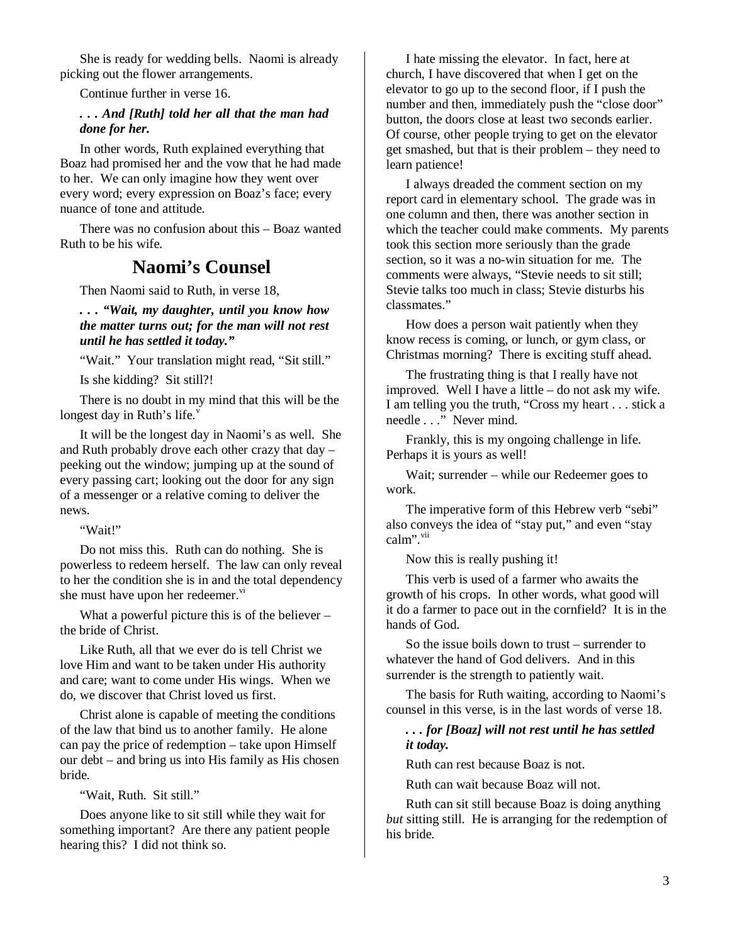She is ready for wedding bells. Naomi is already picking out the flower arrangements.

Continue further in verse 16.

#### *. . . And [Ruth] told her all that the man had done for her.*

In other words, Ruth explained everything that Boaz had promised her and the vow that he had made to her. We can only imagine how they went over every word; every expression on Boaz's face; every nuance of tone and attitude.

There was no confusion about this – Boaz wanted Ruth to be his wife.

## **Naomi's Counsel**

Then Naomi said to Ruth, in verse 18,

*. . . "Wait, my daughter, until you know how the matter turns out; for the man will not rest until he has settled it today."* 

"Wait." Your translation might read, "Sit still."

Is she kidding? Sit still?!

There is no doubt in my mind that this will be the longest day in Ruth's life. $v$ 

It will be the longest day in Naomi's as well. She and Ruth probably drove each other crazy that day – peeking out the window; jumping up at the sound of every passing cart; looking out the door for any sign of a messenger or a relative coming to deliver the news.

"Wait!"

Do not miss this. Ruth can do nothing. She is powerless to redeem herself. The law can only reveal to her the condition she is in and the total dependency she must have upon her redeemer.<sup>vi</sup>

What a powerful picture this is of the believer – the bride of Christ.

Like Ruth, all that we ever do is tell Christ we love Him and want to be taken under His authority and care; want to come under His wings. When we do, we discover that Christ loved us first.

Christ alone is capable of meeting the conditions of the law that bind us to another family. He alone can pay the price of redemption – take upon Himself our debt – and bring us into His family as His chosen bride.

"Wait, Ruth. Sit still."

Does anyone like to sit still while they wait for something important? Are there any patient people hearing this? I did not think so.

I hate missing the elevator. In fact, here at church, I have discovered that when I get on the elevator to go up to the second floor, if I push the number and then, immediately push the "close door" button, the doors close at least two seconds earlier. Of course, other people trying to get on the elevator get smashed, but that is their problem – they need to learn patience!

I always dreaded the comment section on my report card in elementary school. The grade was in one column and then, there was another section in which the teacher could make comments. My parents took this section more seriously than the grade section, so it was a no-win situation for me. The comments were always, "Stevie needs to sit still; Stevie talks too much in class; Stevie disturbs his classmates."

How does a person wait patiently when they know recess is coming, or lunch, or gym class, or Christmas morning? There is exciting stuff ahead.

The frustrating thing is that I really have not improved. Well I have a little – do not ask my wife. I am telling you the truth, "Cross my heart . . . stick a needle . . ." Never mind.

Frankly, this is my ongoing challenge in life. Perhaps it is yours as well!

Wait; surrender – while our Redeemer goes to work.

The imperative form of this Hebrew verb "sebi" also conveys the idea of "stay put," and even "stay calm".<sup>vii</sup>

Now this is really pushing it!

This verb is used of a farmer who awaits the growth of his crops. In other words, what good will it do a farmer to pace out in the cornfield? It is in the hands of God.

So the issue boils down to trust – surrender to whatever the hand of God delivers. And in this surrender is the strength to patiently wait.

The basis for Ruth waiting, according to Naomi's counsel in this verse, is in the last words of verse 18.

## *. . . for [Boaz] will not rest until he has settled it today.*

Ruth can rest because Boaz is not.

Ruth can wait because Boaz will not.

Ruth can sit still because Boaz is doing anything *but* sitting still. He is arranging for the redemption of his bride.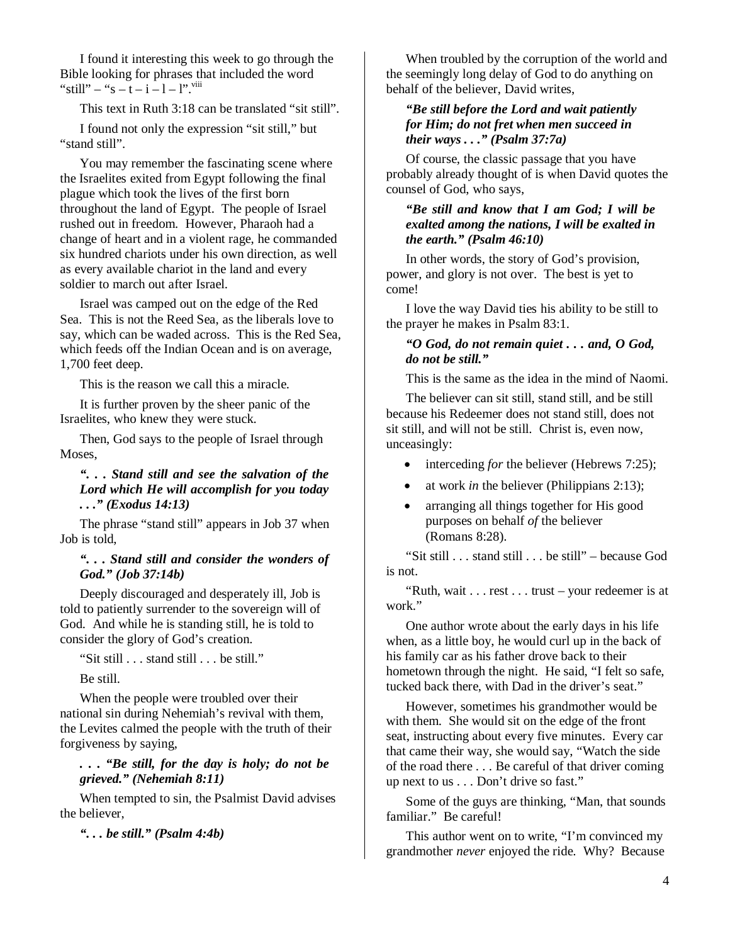I found it interesting this week to go through the Bible looking for phrases that included the word "still" – "s – t – i – l – l".  $\frac{1}{1}$ 

This text in Ruth 3:18 can be translated "sit still".

I found not only the expression "sit still," but "stand still".

You may remember the fascinating scene where the Israelites exited from Egypt following the final plague which took the lives of the first born throughout the land of Egypt. The people of Israel rushed out in freedom. However, Pharaoh had a change of heart and in a violent rage, he commanded six hundred chariots under his own direction, as well as every available chariot in the land and every soldier to march out after Israel.

Israel was camped out on the edge of the Red Sea. This is not the Reed Sea, as the liberals love to say, which can be waded across. This is the Red Sea, which feeds off the Indian Ocean and is on average, 1,700 feet deep.

This is the reason we call this a miracle.

It is further proven by the sheer panic of the Israelites, who knew they were stuck.

Then, God says to the people of Israel through Moses,

*". . . Stand still and see the salvation of the Lord which He will accomplish for you today . . ." (Exodus 14:13)* 

The phrase "stand still" appears in Job 37 when Job is told,

*". . . Stand still and consider the wonders of God." (Job 37:14b)* 

Deeply discouraged and desperately ill, Job is told to patiently surrender to the sovereign will of God. And while he is standing still, he is told to consider the glory of God's creation.

"Sit still . . . stand still . . . be still."

Be still.

When the people were troubled over their national sin during Nehemiah's revival with them, the Levites calmed the people with the truth of their forgiveness by saying,

*. . . "Be still, for the day is holy; do not be grieved." (Nehemiah 8:11)* 

When tempted to sin, the Psalmist David advises the believer,

*". . . be still." (Psalm 4:4b)* 

When troubled by the corruption of the world and the seemingly long delay of God to do anything on behalf of the believer, David writes,

#### *"Be still before the Lord and wait patiently for Him; do not fret when men succeed in their ways . . ." (Psalm 37:7a)*

Of course, the classic passage that you have probably already thought of is when David quotes the counsel of God, who says,

#### *"Be still and know that I am God; I will be exalted among the nations, I will be exalted in the earth." (Psalm 46:10)*

In other words, the story of God's provision, power, and glory is not over. The best is yet to come!

I love the way David ties his ability to be still to the prayer he makes in Psalm 83:1.

#### *"O God, do not remain quiet . . . and, O God, do not be still."*

This is the same as the idea in the mind of Naomi.

The believer can sit still, stand still, and be still because his Redeemer does not stand still, does not sit still, and will not be still. Christ is, even now, unceasingly:

- interceding *for* the believer (Hebrews 7:25);
- at work *in* the believer (Philippians 2:13);
- arranging all things together for His good purposes on behalf *of* the believer (Romans 8:28).

"Sit still . . . stand still . . . be still" – because God is not.

"Ruth, wait . . . rest . . . trust – your redeemer is at work."

One author wrote about the early days in his life when, as a little boy, he would curl up in the back of his family car as his father drove back to their hometown through the night. He said, "I felt so safe, tucked back there, with Dad in the driver's seat."

However, sometimes his grandmother would be with them. She would sit on the edge of the front seat, instructing about every five minutes. Every car that came their way, she would say, "Watch the side of the road there . . . Be careful of that driver coming up next to us . . . Don't drive so fast."

Some of the guys are thinking, "Man, that sounds familiar." Be careful!

This author went on to write, "I'm convinced my grandmother *never* enjoyed the ride. Why? Because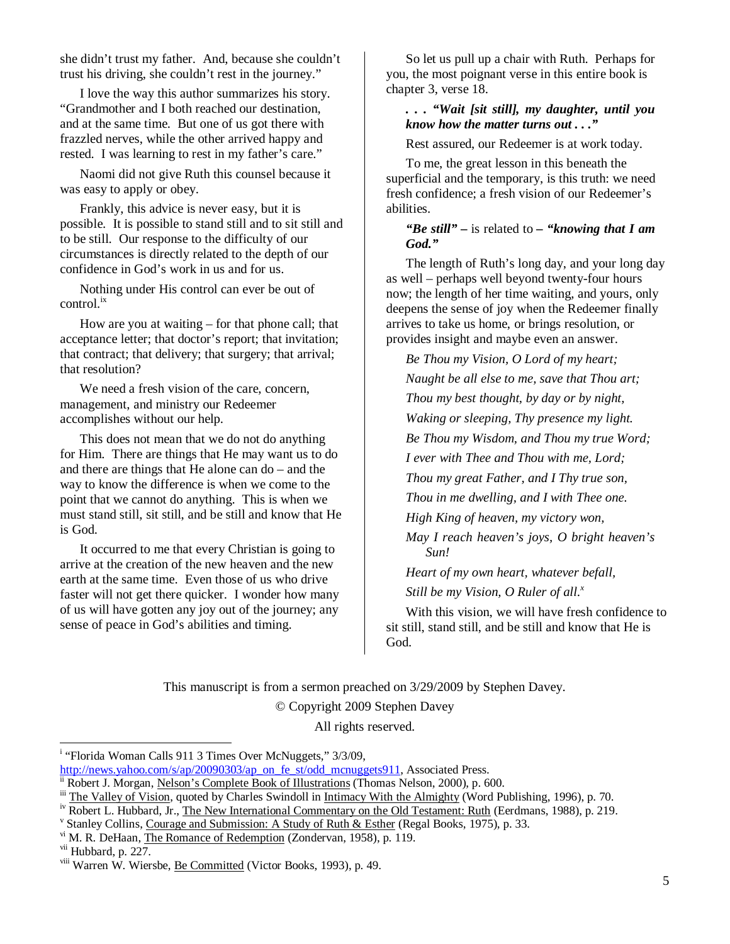she didn't trust my father. And, because she couldn't trust his driving, she couldn't rest in the journey."

I love the way this author summarizes his story. "Grandmother and I both reached our destination, and at the same time. But one of us got there with frazzled nerves, while the other arrived happy and rested. I was learning to rest in my father's care."

Naomi did not give Ruth this counsel because it was easy to apply or obey.

Frankly, this advice is never easy, but it is possible. It is possible to stand still and to sit still and to be still. Our response to the difficulty of our circumstances is directly related to the depth of our confidence in God's work in us and for us.

Nothing under His control can ever be out of  $control<sup>ix</sup>$ 

How are you at waiting – for that phone call; that acceptance letter; that doctor's report; that invitation; that contract; that delivery; that surgery; that arrival; that resolution?

We need a fresh vision of the care, concern, management, and ministry our Redeemer accomplishes without our help.

This does not mean that we do not do anything for Him. There are things that He may want us to do and there are things that He alone can do – and the way to know the difference is when we come to the point that we cannot do anything. This is when we must stand still, sit still, and be still and know that He is God.

It occurred to me that every Christian is going to arrive at the creation of the new heaven and the new earth at the same time. Even those of us who drive faster will not get there quicker. I wonder how many of us will have gotten any joy out of the journey; any sense of peace in God's abilities and timing.

So let us pull up a chair with Ruth. Perhaps for you, the most poignant verse in this entire book is chapter 3, verse 18.

#### *. . . "Wait [sit still], my daughter, until you know how the matter turns out . . ."*

Rest assured, our Redeemer is at work today.

To me, the great lesson in this beneath the superficial and the temporary, is this truth: we need fresh confidence; a fresh vision of our Redeemer's abilities.

### *"Be still" –* is related to *– "knowing that I am God."*

The length of Ruth's long day, and your long day as well – perhaps well beyond twenty-four hours now; the length of her time waiting, and yours, only deepens the sense of joy when the Redeemer finally arrives to take us home, or brings resolution, or provides insight and maybe even an answer.

*Be Thou my Vision, O Lord of my heart; Naught be all else to me, save that Thou art; Thou my best thought, by day or by night, Waking or sleeping, Thy presence my light. Be Thou my Wisdom, and Thou my true Word; I ever with Thee and Thou with me, Lord; Thou my great Father, and I Thy true son, Thou in me dwelling, and I with Thee one. High King of heaven, my victory won, May I reach heaven's joys, O bright heaven's Sun!* 

*Heart of my own heart, whatever befall,* 

*Still be my Vision, O Ruler of all.<sup>x</sup>*

With this vision, we will have fresh confidence to sit still, stand still, and be still and know that He is God.

This manuscript is from a sermon preached on 3/29/2009 by Stephen Davey.

© Copyright 2009 Stephen Davey

All rights reserved.

 $\overline{a}$ 

<sup>&</sup>lt;sup>i</sup> "Florida Woman Calls 911 3 Times Over McNuggets," 3/3/09,

http://news.yahoo.com/s/ap/20090303/ap\_on\_fe\_st/odd\_mcnuggets911, Associated Press.

<sup>&</sup>lt;sup>ii</sup> Robert J. Morgan, Nelson's Complete Book of Illustrations (Thomas Nelson, 2000), p. 600.

<sup>&</sup>lt;sup>iii</sup> The Valley of Vision, quoted by Charles Swindoll in <u>Intimacy With the Almighty</u> (Word Publishing, 1996), p. 70.<br><sup>iv</sup> Robert L. Hubbard, Jr. The New International Commentary on the Old Testament: Ruth (Ferdmans, 198

Robert L. Hubbard, Jr., The New International Commentary on the Old Testament: Ruth (Eerdmans, 1988), p. 219.

<sup>&</sup>lt;sup>v</sup> Stanley Collins, Courage and Submission: A Study of Ruth & Esther (Regal Books, 1975), p. 33.

<sup>&</sup>lt;sup>vi</sup> M. R. DeHaan, The Romance of Redemption (Zondervan, 1958), p. 119.

vii Hubbard, p. 227.

viii Warren W. Wiersbe, Be Committed (Victor Books, 1993), p. 49.